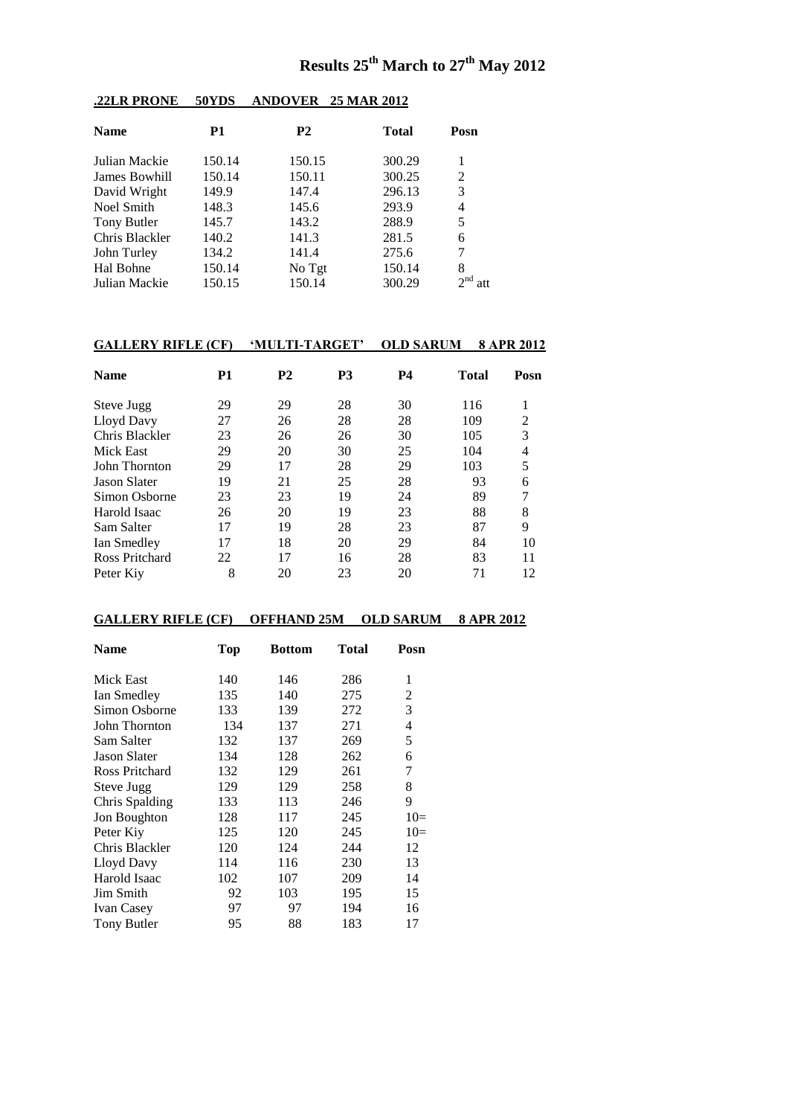# **Results 25th March to 27th May 2012**

| <b>Name</b>    | P1     | <b>P2</b> | <b>Total</b> | Posn |
|----------------|--------|-----------|--------------|------|
| Julian Mackie  | 150.14 | 150.15    | 300.29       | 1    |
| James Bowhill  | 150.14 | 150.11    | 300.25       | 2    |
| David Wright   | 149.9  | 147.4     | 296.13       | 3    |
| Noel Smith     | 148.3  | 145.6     | 293.9        | 4    |
| Tony Butler    | 145.7  | 143.2     | 288.9        | 5    |
| Chris Blackler | 140.2  | 141.3     | 281.5        | 6    |
| John Turley    | 134.2  | 141.4     | 275.6        | 7    |
| Hal Bohne      | 150.14 | No Tgt    | 150.14       | 8    |
| Julian Mackie  | 150.15 | 150.14    | 300.29       |      |
|                |        |           |              |      |

### **.22LR PRONE 50YDS ANDOVER 25 MAR 2012**

# **GALLERY RIFLE (CF) 'MULTI-TARGET' OLD SARUM 8 APR 2012**

| <b>Name</b>         | P1 | <b>P2</b> | <b>P3</b> | <b>P4</b> | Total | Posn           |
|---------------------|----|-----------|-----------|-----------|-------|----------------|
| Steve Jugg          | 29 | 29        | 28        | 30        | 116   |                |
| Lloyd Davy          | 27 | 26        | 28        | 28        | 109   | $\mathfrak{D}$ |
| Chris Blackler      | 23 | 26        | 26        | 30        | 105   | 3              |
| Mick East           | 29 | 20        | 30        | 25        | 104   | 4              |
| John Thornton       | 29 | 17        | 28        | 29        | 103   | 5              |
| <b>Jason Slater</b> | 19 | 21        | 25        | 28        | 93    | 6              |
| Simon Osborne       | 23 | 23        | 19        | 24        | 89    |                |
| Harold Isaac        | 26 | 20        | 19        | 23        | 88    | 8              |
| Sam Salter          | 17 | 19        | 28        | 23        | 87    | 9              |
| Ian Smedley         | 17 | 18        | 20        | 29        | 84    | 10             |
| Ross Pritchard      | 22 | 17        | 16        | 28        | 83    | 11             |
| Peter Kiv           | 8  | 20        | 23        | 20        | 71    | 12             |

## **GALLERY RIFLE (CF) OFFHAND 25M OLD SARUM 8 APR 2012**

| Name                | Top | <b>Bottom</b> | Total | Posn                     |
|---------------------|-----|---------------|-------|--------------------------|
| Mick East           | 140 | 146           | 286   | 1                        |
| Ian Smedley         | 135 | 140           | 275   | 2                        |
| Simon Osborne       | 133 | 139           | 272   | 3                        |
| John Thornton       | 134 | 137           | 271   | $\overline{\mathcal{L}}$ |
| Sam Salter          | 132 | 137           | 269   | 5                        |
| <b>Jason Slater</b> | 134 | 128           | 262   | 6                        |
| Ross Pritchard      | 132 | 129           | 261   | 7                        |
| Steve Jugg          | 129 | 129           | 258   | 8                        |
| Chris Spalding      | 133 | 113           | 246   | 9                        |
| Jon Boughton        | 128 | 117           | 245   | $10=$                    |
| Peter Kiy           | 125 | 120           | 245   | $10=$                    |
| Chris Blackler      | 120 | 124           | 244   | 12                       |
| Lloyd Davy          | 114 | 116           | 230   | 13                       |
| Harold Isaac        | 102 | 107           | 209   | 14                       |
| Jim Smith           | 92  | 103           | 195   | 15                       |
| <b>Ivan Casey</b>   | 97  | 97            | 194   | 16                       |
| Tony Butler         | 95  | 88            | 183   | 17                       |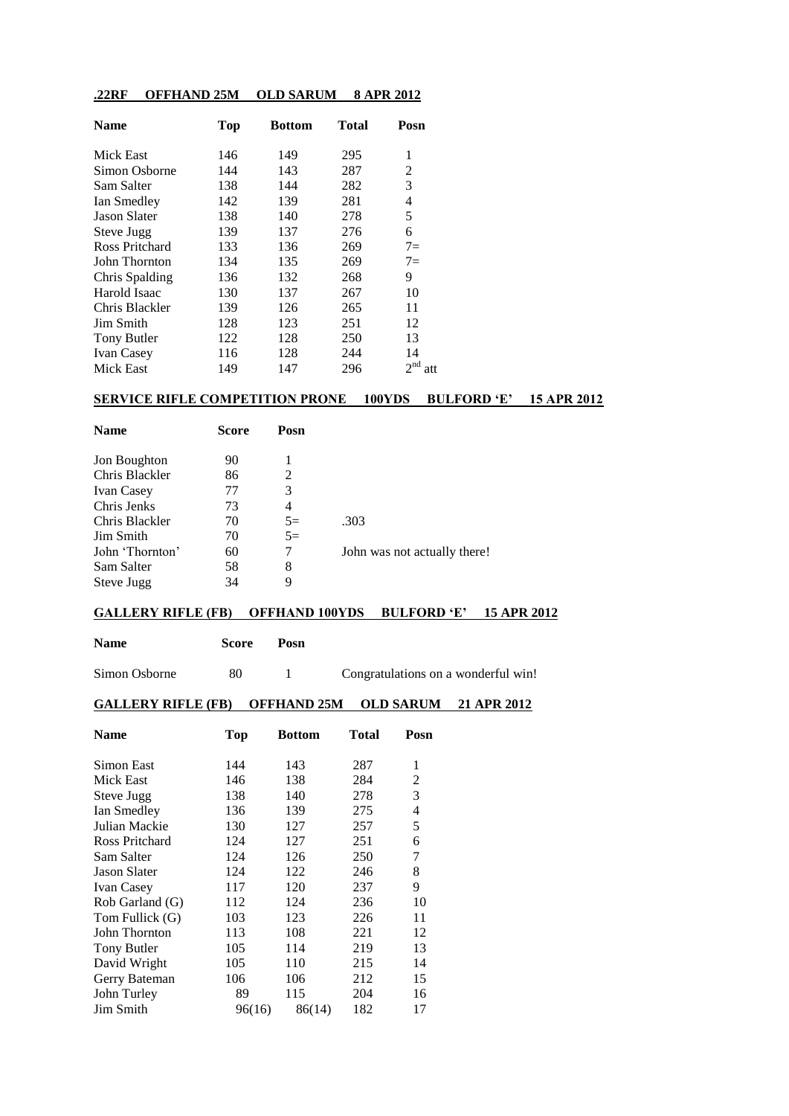### **.22RF OFFHAND 25M OLD SARUM 8 APR 2012**

| <b>Name</b>         | <b>Top</b> | <b>Bottom</b> | <b>Total</b> | Posn                   |
|---------------------|------------|---------------|--------------|------------------------|
| Mick East           | 146        | 149           | 295          | 1                      |
| Simon Osborne       | 144        | 143           | 287          | 2                      |
| Sam Salter          | 138        | 144           | 282          | 3                      |
| Ian Smedley         | 142        | 139           | 281          | 4                      |
| <b>Jason Slater</b> | 138        | 140           | 278          | 5                      |
| Steve Jugg          | 139        | 137           | 276          | 6                      |
| Ross Pritchard      | 133        | 136           | 269          | $7=$                   |
| John Thornton       | 134        | 135           | 269          | $7=$                   |
| Chris Spalding      | 136        | 132           | 268          | 9                      |
| Harold Isaac        | 130        | 137           | 267          | 10                     |
| Chris Blackler      | 139        | 126           | 265          | 11                     |
| Jim Smith           | 128        | 123           | 251          | 12                     |
| Tony Butler         | 122        | 128           | 250          | 13                     |
| <b>Ivan Casey</b>   | 116        | 128           | 244          | 14                     |
| <b>Mick East</b>    | 149        | 147           | 296          | 2 <sup>nd</sup><br>att |

#### **SERVICE RIFLE COMPETITION PRONE 100YDS BULFORD 'E' 15 APR 2012**

| <b>Name</b>       | Score | Posn |                              |
|-------------------|-------|------|------------------------------|
|                   |       |      |                              |
| Jon Boughton      | 90    |      |                              |
| Chris Blackler    | 86    | 2    |                              |
| <b>Ivan Casey</b> | 77    | 3    |                              |
| Chris Jenks       | 73    | 4    |                              |
| Chris Blackler    | 70    | $5=$ | .303                         |
| Jim Smith         | 70    | $5=$ |                              |
| John 'Thornton'   | 60    | 7    | John was not actually there! |
| Sam Salter        | 58    | 8    |                              |
| Steve Jugg        | 34    | 9    |                              |

#### **GALLERY RIFLE (FB) OFFHAND 100YDS BULFORD 'E' 15 APR 2012**

| Name | <b>Score</b> | Posn |
|------|--------------|------|
|      |              |      |

Simon Osborne 80 1 Congratulations on a wonderful win!

#### **GALLERY RIFLE (FB) OFFHAND 25M OLD SARUM 21 APR 2012**

| <b>Name</b>         | <b>Top</b> | Bottom | Total | Posn |
|---------------------|------------|--------|-------|------|
| Simon East          | 144        | 143    | 287   | 1    |
| Mick East           | 146        | 138    | 284   | 2    |
| Steve Jugg          | 138        | 140    | 278   | 3    |
| Ian Smedley         | 136        | 139    | 275   | 4    |
| Julian Mackie       | 130        | 127    | 257   | 5    |
| Ross Pritchard      | 124        | 127    | 251   | 6    |
| Sam Salter          | 124        | 126    | 250   | 7    |
| <b>Jason Slater</b> | 124        | 122    | 246   | 8    |
| <b>Ivan Casey</b>   | 117        | 120    | 237   | 9    |
| Rob Garland (G)     | 112        | 124    | 236   | 10   |
| Tom Fullick (G)     | 103        | 123    | 226   | 11   |
| John Thornton       | 113        | 108    | 221   | 12   |
| <b>Tony Butler</b>  | 105        | 114    | 219   | 13   |
| David Wright        | 105        | 110    | 215   | 14   |
| Gerry Bateman       | 106        | 106    | 212   | 15   |
| John Turley         | 89         | 115    | 204   | 16   |
| Jim Smith           | 96(16)     | 86(14) | 182   | 17   |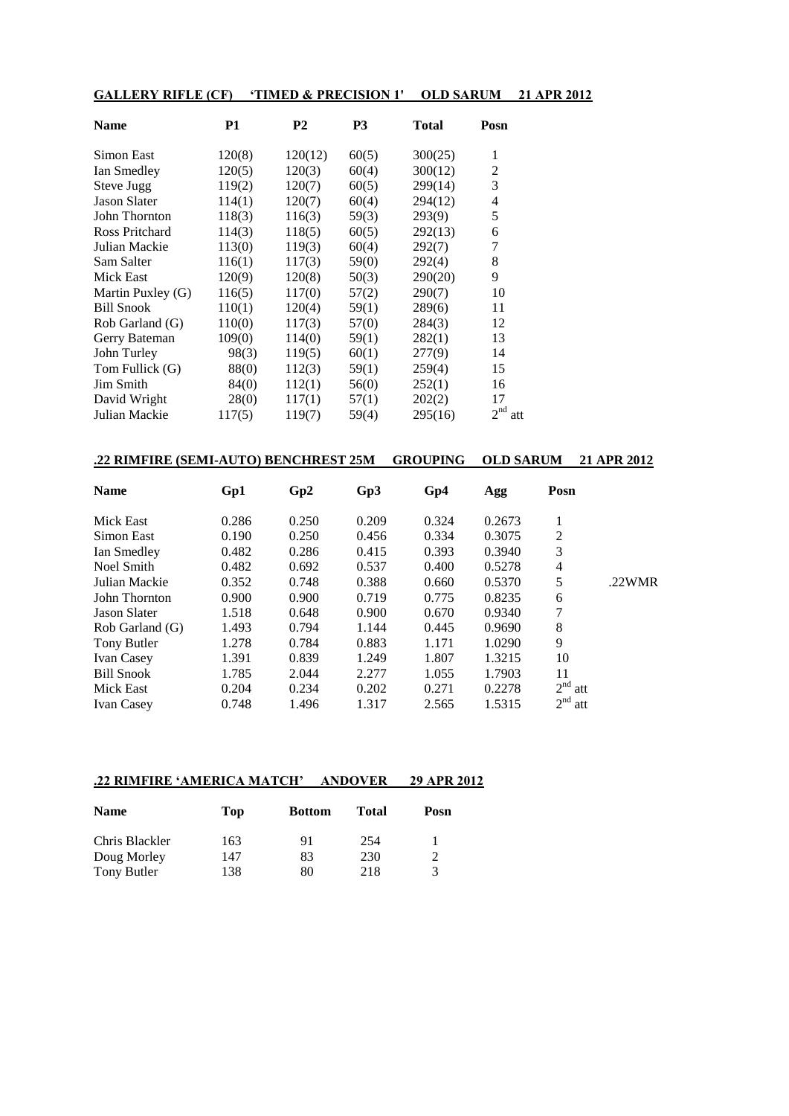| <b>GALLERY RIFLE (CF)</b> |           |                | 'TIMED & PRECISION 1' | <b>OLD SARUM</b> |                | 21 APR 2012 |
|---------------------------|-----------|----------------|-----------------------|------------------|----------------|-------------|
| <b>Name</b>               | <b>P1</b> | P <sub>2</sub> | P <sub>3</sub>        | <b>Total</b>     | Posn           |             |
| Simon East                | 120(8)    | 120(12)        | 60(5)                 | 300(25)          | 1              |             |
| Ian Smedley               | 120(5)    | 120(3)         | 60(4)                 | 300(12)          | $\overline{c}$ |             |
| Steve Jugg                | 119(2)    | 120(7)         | 60(5)                 | 299(14)          | 3              |             |
| <b>Jason Slater</b>       | 114(1)    | 120(7)         | 60(4)                 | 294(12)          | 4              |             |
| John Thornton             | 118(3)    | 116(3)         | 59(3)                 | 293(9)           | 5              |             |
| Ross Pritchard            | 114(3)    | 118(5)         | 60(5)                 | 292(13)          | 6              |             |
| Julian Mackie             | 113(0)    | 119(3)         | 60(4)                 | 292(7)           | 7              |             |
| Sam Salter                | 116(1)    | 117(3)         | 59(0)                 | 292(4)           | 8              |             |
| Mick East                 | 120(9)    | 120(8)         | 50(3)                 | 290(20)          | 9              |             |
| Martin Puxley (G)         | 116(5)    | 117(0)         | 57(2)                 | 290(7)           | 10             |             |
| <b>Bill Snook</b>         | 110(1)    | 120(4)         | 59(1)                 | 289(6)           | 11             |             |
| Rob Garland (G)           | 110(0)    | 117(3)         | 57(0)                 | 284(3)           | 12             |             |
| Gerry Bateman             | 109(0)    | 114(0)         | 59(1)                 | 282(1)           | 13             |             |
| John Turley               | 98(3)     | 119(5)         | 60(1)                 | 277(9)           | 14             |             |
| Tom Fullick (G)           | 88(0)     | 112(3)         | 59(1)                 | 259(4)           | 15             |             |
| Jim Smith                 | 84(0)     | 112(1)         | 56(0)                 | 252(1)           | 16             |             |
| David Wright              | 28(0)     | 117(1)         | 57(1)                 | 202(2)           | 17             |             |
| Julian Mackie             | 117(5)    | 119(7)         | 59(4)                 | 295(16)          | $2nd$ att      |             |

| .22 RIMFIRE (SEMI-AUTO) BENCHREST 25M |       |       |       | <b>GROUPING</b> | <b>OLD SARUM</b> |                 | 21 APR 2012 |
|---------------------------------------|-------|-------|-------|-----------------|------------------|-----------------|-------------|
| <b>Name</b>                           | Gp1   | Gp2   | Gp3   | Gp4             | Agg              | Posn            |             |
| Mick East                             | 0.286 | 0.250 | 0.209 | 0.324           | 0.2673           | 1               |             |
| Simon East                            | 0.190 | 0.250 | 0.456 | 0.334           | 0.3075           | 2               |             |
| Ian Smedley                           | 0.482 | 0.286 | 0.415 | 0.393           | 0.3940           | 3               |             |
| Noel Smith                            | 0.482 | 0.692 | 0.537 | 0.400           | 0.5278           | 4               |             |
| Julian Mackie                         | 0.352 | 0.748 | 0.388 | 0.660           | 0.5370           | 5               | $.22$ WMR   |
| John Thornton                         | 0.900 | 0.900 | 0.719 | 0.775           | 0.8235           | 6               |             |
| Jason Slater                          | 1.518 | 0.648 | 0.900 | 0.670           | 0.9340           | 7               |             |
| Rob Garland (G)                       | 1.493 | 0.794 | 1.144 | 0.445           | 0.9690           | 8               |             |
| Tony Butler                           | 1.278 | 0.784 | 0.883 | 1.171           | 1.0290           | 9               |             |
| <b>Ivan Casey</b>                     | 1.391 | 0.839 | 1.249 | 1.807           | 1.3215           | 10              |             |
| <b>Bill Snook</b>                     | 1.785 | 2.044 | 2.277 | 1.055           | 1.7903           | 11              |             |
| Mick East                             | 0.204 | 0.234 | 0.202 | 0.271           | 0.2278           | 2 <sup>nd</sup> | att         |
| <b>Ivan Casey</b>                     | 0.748 | 1.496 | 1.317 | 2.565           | 1.5315           | 2 <sup>nd</sup> | att         |

# **.22 RIMFIRE 'AMERICA MATCH' ANDOVER 29 APR 2012**

| <b>Name</b>    | Top | <b>Bottom</b> | Total | Posn |
|----------------|-----|---------------|-------|------|
| Chris Blackler | 163 | 91            | 254   |      |
| Doug Morley    | 147 | 83            | 230   | 2    |
| Tony Butler    | 138 | 80            | 218   | 3    |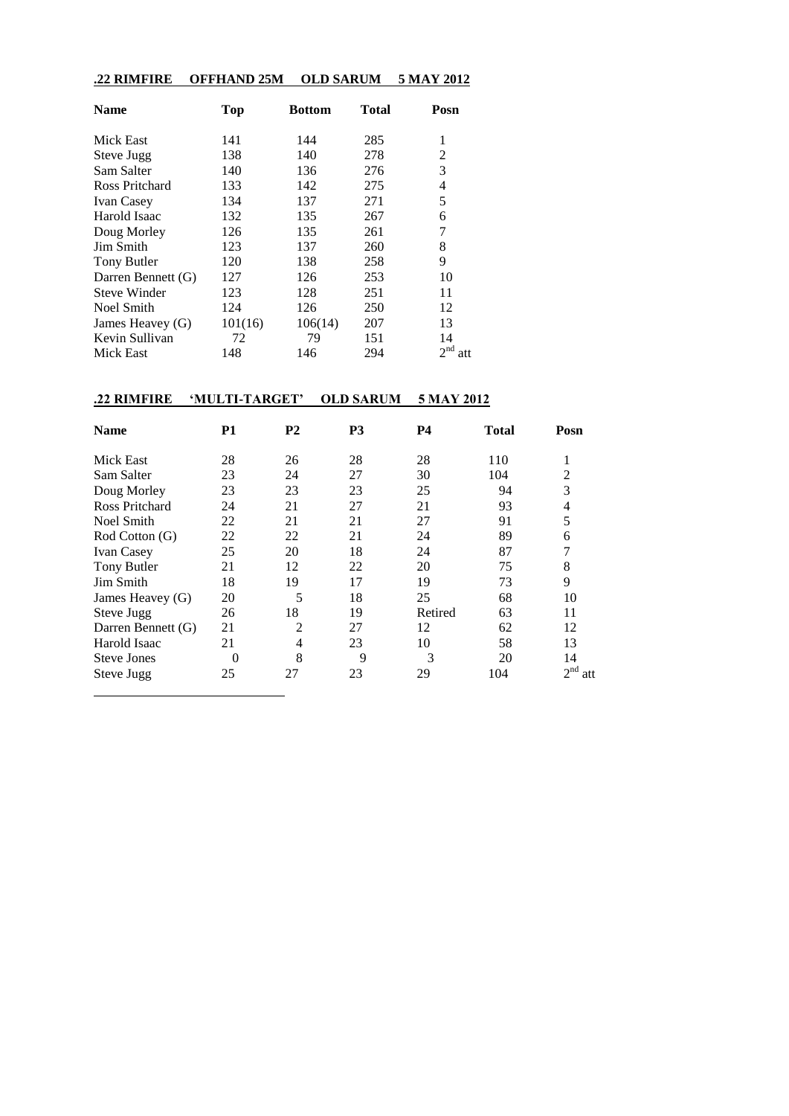#### **.22 RIMFIRE OFFHAND 25M OLD SARUM 5 MAY 2012**

| <b>Name</b>           | <b>Top</b> | <b>Bottom</b> | Total | Posn                   |
|-----------------------|------------|---------------|-------|------------------------|
| Mick East             | 141        | 144           | 285   | 1                      |
| Steve Jugg            | 138        | 140           | 278   | $\overline{2}$         |
| Sam Salter            | 140        | 136           | 276   | 3                      |
| <b>Ross Pritchard</b> | 133        | 142           | 275   | 4                      |
| <b>Ivan Casey</b>     | 134        | 137           | 271   | 5                      |
| Harold Isaac          | 132        | 135           | 267   | 6                      |
| Doug Morley           | 126        | 135           | 261   | 7                      |
| Jim Smith             | 123        | 137           | 260   | 8                      |
| Tony Butler           | 120        | 138           | 258   | 9                      |
| Darren Bennett (G)    | 127        | 126           | 253   | 10                     |
| <b>Steve Winder</b>   | 123        | 128           | 251   | 11                     |
| Noel Smith            | 124        | 126           | 250   | 12                     |
| James Heavey (G)      | 101(16)    | 106(14)       | 207   | 13                     |
| Kevin Sullivan        | 72         | 79            | 151   | 14                     |
| Mick East             | 148        | 146           | 294   | 2 <sup>nd</sup><br>att |

### **.22 RIMFIRE 'MULTI-TARGET' OLD SARUM 5 MAY 2012**

| <b>Name</b>        | P1       | P <sub>2</sub> | P <sub>3</sub> | <b>P4</b> | <b>Total</b> | Posn                   |
|--------------------|----------|----------------|----------------|-----------|--------------|------------------------|
| Mick East          | 28       | 26             | 28             | 28        | 110          | л.                     |
| Sam Salter         | 23       | 24             | 27             | 30        | 104          | $\overline{2}$         |
| Doug Morley        | 23       | 23             | 23             | 25        | 94           | 3                      |
| Ross Pritchard     | 24       | 21             | 27             | 21        | 93           | 4                      |
| Noel Smith         | 22       | 21             | 21             | 27        | 91           | 5                      |
| Rod Cotton (G)     | 22       | 22             | 21             | 24        | 89           | 6                      |
| <b>Ivan Casey</b>  | 25       | 20             | 18             | 24        | 87           |                        |
| Tony Butler        | 21       | 12             | 22             | 20        | 75           | 8                      |
| Jim Smith          | 18       | 19             | 17             | 19        | 73           | 9                      |
| James Heavey (G)   | 20       | 5              | 18             | 25        | 68           | 10                     |
| Steve Jugg         | 26       | 18             | 19             | Retired   | 63           | 11                     |
| Darren Bennett (G) | 21       | $\overline{c}$ | 27             | 12        | 62           | 12                     |
| Harold Isaac       | 21       | 4              | 23             | 10        | 58           | 13                     |
| <b>Steve Jones</b> | $\theta$ | 8              | 9              | 3         | 20           | 14                     |
| Steve Jugg         | 25       | 27             | 23             | 29        | 104          | 2 <sup>nd</sup><br>att |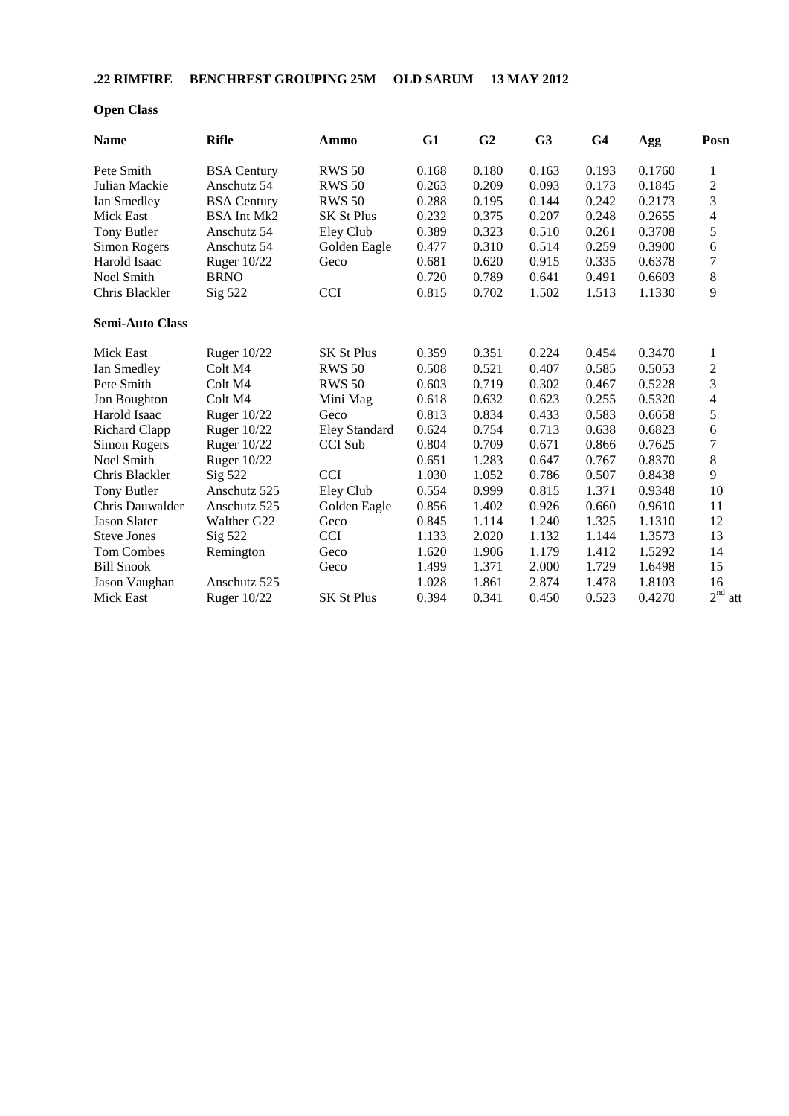### **.22 RIMFIRE BENCHREST GROUPING 25M OLD SARUM 13 MAY 2012**

### **Open Class**

| <b>Name</b>            | <b>Rifle</b>       | Ammo                 | G1    | G <sub>2</sub> | G <sub>3</sub> | G <sub>4</sub> | Agg    | Posn           |
|------------------------|--------------------|----------------------|-------|----------------|----------------|----------------|--------|----------------|
| Pete Smith             | <b>BSA</b> Century | <b>RWS 50</b>        | 0.168 | 0.180          | 0.163          | 0.193          | 0.1760 | 1              |
| Julian Mackie          | Anschutz 54        | <b>RWS 50</b>        | 0.263 | 0.209          | 0.093          | 0.173          | 0.1845 | $\overline{c}$ |
| Ian Smedley            | <b>BSA</b> Century | <b>RWS 50</b>        | 0.288 | 0.195          | 0.144          | 0.242          | 0.2173 | 3              |
| <b>Mick East</b>       | <b>BSA Int Mk2</b> | <b>SK St Plus</b>    | 0.232 | 0.375          | 0.207          | 0.248          | 0.2655 | 4              |
| Tony Butler            | Anschutz 54        | Eley Club            | 0.389 | 0.323          | 0.510          | 0.261          | 0.3708 | 5              |
| Simon Rogers           | Anschutz 54        | Golden Eagle         | 0.477 | 0.310          | 0.514          | 0.259          | 0.3900 | 6              |
| Harold Isaac           | Ruger 10/22        | Geco                 | 0.681 | 0.620          | 0.915          | 0.335          | 0.6378 | $\overline{7}$ |
| Noel Smith             | <b>BRNO</b>        |                      | 0.720 | 0.789          | 0.641          | 0.491          | 0.6603 | 8              |
| Chris Blackler         | Sig 522            | <b>CCI</b>           | 0.815 | 0.702          | 1.502          | 1.513          | 1.1330 | 9              |
| <b>Semi-Auto Class</b> |                    |                      |       |                |                |                |        |                |
| <b>Mick East</b>       | Ruger 10/22        | <b>SK St Plus</b>    | 0.359 | 0.351          | 0.224          | 0.454          | 0.3470 | 1              |
| Ian Smedley            | Colt M4            | <b>RWS 50</b>        | 0.508 | 0.521          | 0.407          | 0.585          | 0.5053 | $\overline{c}$ |
| Pete Smith             | Colt M4            | <b>RWS 50</b>        | 0.603 | 0.719          | 0.302          | 0.467          | 0.5228 | 3              |
| Jon Boughton           | Colt M4            | Mini Mag             | 0.618 | 0.632          | 0.623          | 0.255          | 0.5320 | 4              |
| Harold Isaac           | Ruger $10/22$      | Geco                 | 0.813 | 0.834          | 0.433          | 0.583          | 0.6658 | 5              |
| <b>Richard Clapp</b>   | <b>Ruger 10/22</b> | <b>Eley Standard</b> | 0.624 | 0.754          | 0.713          | 0.638          | 0.6823 | 6              |
| Simon Rogers           | <b>Ruger 10/22</b> | <b>CCI</b> Sub       | 0.804 | 0.709          | 0.671          | 0.866          | 0.7625 | $\sqrt{ }$     |
| Noel Smith             | Ruger 10/22        |                      | 0.651 | 1.283          | 0.647          | 0.767          | 0.8370 | $\,8\,$        |
| Chris Blackler         | Sig 522            | <b>CCI</b>           | 1.030 | 1.052          | 0.786          | 0.507          | 0.8438 | 9              |
| Tony Butler            | Anschutz 525       | Eley Club            | 0.554 | 0.999          | 0.815          | 1.371          | 0.9348 | 10             |
| Chris Dauwalder        | Anschutz 525       | Golden Eagle         | 0.856 | 1.402          | 0.926          | 0.660          | 0.9610 | 11             |
| <b>Jason Slater</b>    | Walther G22        | Geco                 | 0.845 | 1.114          | 1.240          | 1.325          | 1.1310 | 12             |
| <b>Steve Jones</b>     | Sig 522            | <b>CCI</b>           | 1.133 | 2.020          | 1.132          | 1.144          | 1.3573 | 13             |
| Tom Combes             | Remington          | Geco                 | 1.620 | 1.906          | 1.179          | 1.412          | 1.5292 | 14             |
| <b>Bill Snook</b>      |                    | Geco                 | 1.499 | 1.371          | 2.000          | 1.729          | 1.6498 | 15             |
| Jason Vaughan          | Anschutz 525       |                      | 1.028 | 1.861          | 2.874          | 1.478          | 1.8103 | 16             |
| Mick East              | Ruger 10/22        | <b>SK St Plus</b>    | 0.394 | 0.341          | 0.450          | 0.523          | 0.4270 | $2^{nd}$ a     |

att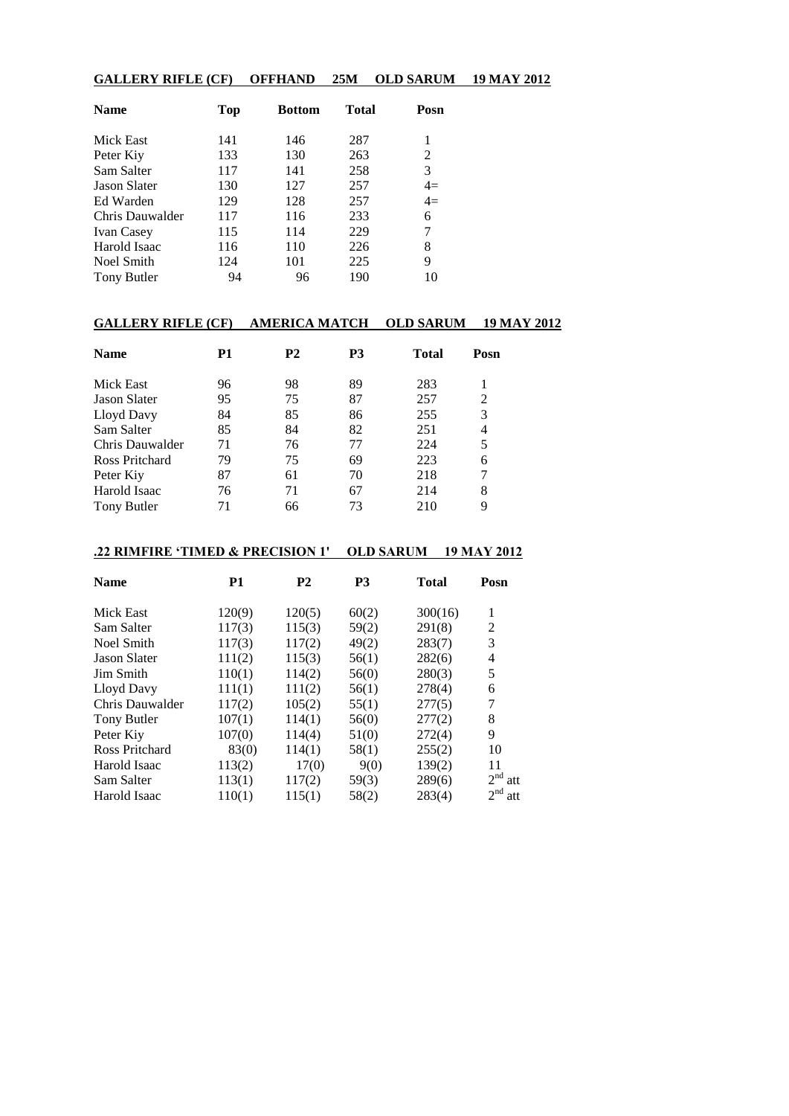#### **GALLERY RIFLE (CF) OFFHAND 25M OLD SARUM 19 MAY 2012**

| <b>Name</b>         | Top | <b>Bottom</b> | <b>Total</b> | Posn |
|---------------------|-----|---------------|--------------|------|
| Mick East           | 141 | 146           | 287          |      |
| Peter Kiy           | 133 | 130           | 263          | 2    |
| Sam Salter          | 117 | 141           | 258          | 3    |
| <b>Jason Slater</b> | 130 | 127           | 257          | $4=$ |
| Ed Warden           | 129 | 128           | 257          | $4=$ |
| Chris Dauwalder     | 117 | 116           | 233          | 6    |
| <b>Ivan Casey</b>   | 115 | 114           | 229          | 7    |
| Harold Isaac        | 116 | 110           | 226          | 8    |
| Noel Smith          | 124 | 101           | 225          | 9    |
| Tony Butler         | 94  | 96            | 190          | 10   |

# **GALLERY RIFLE (CF) AMERICA MATCH OLD SARUM 19 MAY 2012**

| <b>Name</b>         | P1 | <b>P2</b> | P3 | <b>Total</b> | Posn |  |
|---------------------|----|-----------|----|--------------|------|--|
| Mick East           | 96 | 98        | 89 | 283          |      |  |
| <b>Jason Slater</b> | 95 | 75        | 87 | 257          | 2    |  |
| Lloyd Davy          | 84 | 85        | 86 | 255          | 3    |  |
| Sam Salter          | 85 | 84        | 82 | 251          | 4    |  |
| Chris Dauwalder     | 71 | 76        | 77 | 224          | 5    |  |
| Ross Pritchard      | 79 | 75        | 69 | 223          | 6    |  |
| Peter Kiy           | 87 | 61        | 70 | 218          | 7    |  |
| Harold Isaac        | 76 | 71        | 67 | 214          | 8    |  |
| Tony Butler         | 71 | 66        | 73 | 210          | 9    |  |

### **.22 RIMFIRE 'TIMED & PRECISION 1' OLD SARUM 19 MAY 2012**

| <b>Name</b>         | P <sub>1</sub> | P <sub>2</sub> | <b>P3</b> | Total   | Posn                   |
|---------------------|----------------|----------------|-----------|---------|------------------------|
| Mick East           | 120(9)         | 120(5)         | 60(2)     | 300(16) | 1                      |
| Sam Salter          | 117(3)         | 115(3)         | 59(2)     | 291(8)  | 2                      |
| Noel Smith          | 117(3)         | 117(2)         | 49(2)     | 283(7)  | 3                      |
| <b>Jason Slater</b> | 111(2)         | 115(3)         | 56(1)     | 282(6)  | 4                      |
| <b>Jim Smith</b>    | 110(1)         | 114(2)         | 56(0)     | 280(3)  | 5                      |
| Lloyd Davy          | 111(1)         | 111(2)         | 56(1)     | 278(4)  | 6                      |
| Chris Dauwalder     | 117(2)         | 105(2)         | 55(1)     | 277(5)  | 7                      |
| Tony Butler         | 107(1)         | 114(1)         | 56(0)     | 277(2)  | 8                      |
| Peter Kiy           | 107(0)         | 114(4)         | 51(0)     | 272(4)  | 9                      |
| Ross Pritchard      | 83(0)          | 114(1)         | 58(1)     | 255(2)  | 10                     |
| Harold Isaac        | 113(2)         | 17(0)          | 9(0)      | 139(2)  | 11                     |
| Sam Salter          | 113(1)         | 117(2)         | 59(3)     | 289(6)  | 2 <sup>nd</sup><br>att |
| Harold Isaac        | 110(1)         | 115(1)         | 58(2)     | 283(4)  | 2 <sup>nd</sup><br>att |